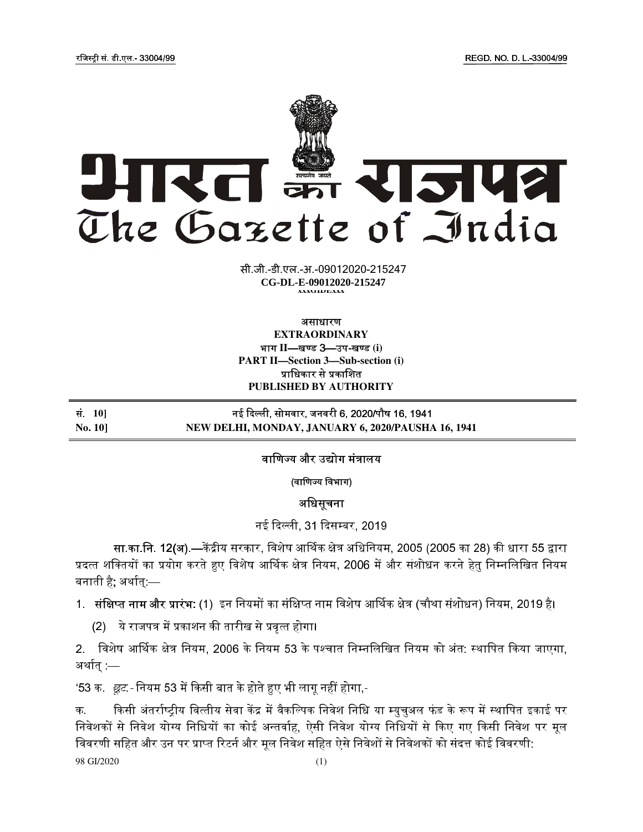

**xxxGIDHxxx CG-DL-E-09012020-215247xxxGIDExxx**  सी.जी.-डी.एल.-अ.-09012020-215247

असाधारण

**EXTRAORDINARY**  भाग II—खण्ड 3—उप-खण्ड (i) **PART II—Section 3—Sub-section (i)** प्राधिकार से प्रकाशित **PUBLISHED BY AUTHORITY**

स.ं **10]** नई दली, सोमवार, जनवरी 6, 2020/पौष 16, 1941 **No. 10] NEW DELHI, MONDAY, JANUARY 6, 2020/PAUSHA 16, 1941** 

वाणिज्य और उद्योग मंत्रालय

(वाणिज्य विभाग)

अधिसूचना

नई दिल्ली, 31 दिसम्बर, 2019.

सा.का.नि. 12(अ).—केंद्रीय सरकार, विशेष आर्थिक क्षेत्र अधिनियम, 2005 (2005 का 28) की धारा 55 द्वारा प्रदत्त शक्तियों का प्रयोग करते हुए विशेष आर्थिक क्षेत्र नियम, 2006 में और संशोधन करने हेतु निम्नलिखित नियम । बनाती है; अर्थात् $-$ 

1. संक्षिप्त नाम और प्रारंभ: (1) इन नियमों का संक्षिप्त नाम विशेष आर्थिक क्षेत्र (चौथा संशोधन) नियम, 2019 है।

(2) ये राजपत्र में प्रकाशन की तारीख से प्रवृत्त होगा।

2. विशेष आर्थिक क्षेत्र नियम, 2006 के नियम 53 के पश्चात निम्नलिखित नियम को अंत: स्थापित किया जाएगा, अर्थात्  $-$ 

'53 क. *छूट.-* नियम 53 में किसी बात के होते हुए भी लागू नहीं होगा,-

98 GI/2020 (1) क. किसी अंतर्राष्टीय वित्तीय सेवा केंद्र में वैकल्पिक निवेश निधि या म्यचअल फंड के रूप में स्थापित इकाई पर निवेशकों से निवेश योग्य निधियों का कोई अन्तर्वाह, ऐसी निवेश योग्य निधियों से किए गए किसी निवेश पर मूल विवरणी सहित और उन पर प्राप्त रिटर्न और मूल निवेश सहित ऐसे निवेशों से निवेशकों को संदत्त कोई विवरणी: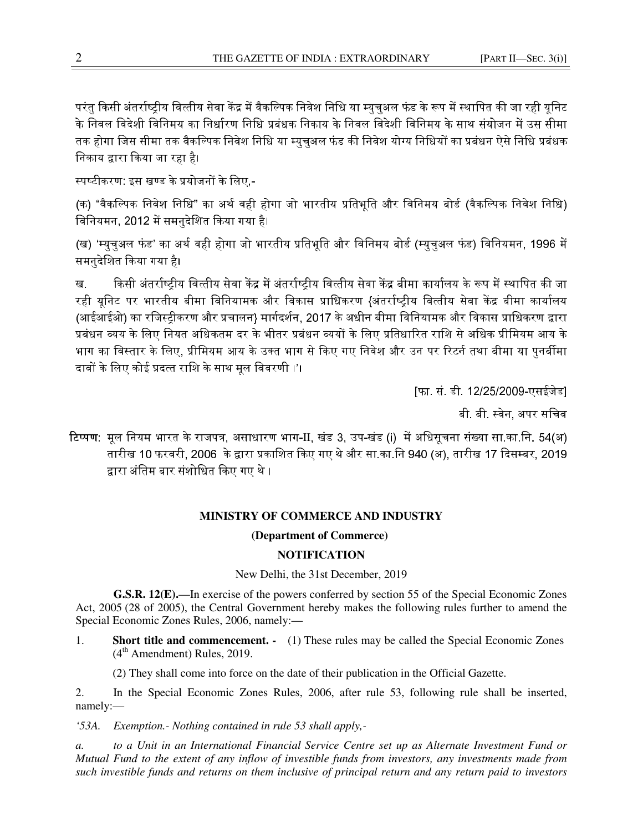परंत किसी अंतर्राष्टीय वित्तीय सेवा केंद्र में वैकल्पिक निवेश निधि या म्यचअल फंड के रूप में स्थापित की जा रही यनिट के निवल विदेशी विनिमय का निर्धारण निधि प्रबंधक निकाय के निवल विदेशी विनिमय के साथ संयोजन में उस सीमा तक होगा जिस सीमा तक वैकल्पिक निवेश निधि या म्यचअल फंड की निवेश योग्य निधियों का प्रबंधन ऐसे निधि प्रबंधक निकाय द्वारा किया जा रहा है।

स्पष्टीकरण: इस खण्ड के प्रयोजनों के लिए,-

(क) "वैकल्पिक निवेश निधि" का अर्थ वही होगा जो भारतीय प्रतिभूति और विनिमय बोर्ड (वैकल्पिक निवेश निधि) विनियमन, 2012 में समनुदेशित किया गया है।

(ख) 'म्यचअल फंड' का अर्थ वही होगा जो भारतीय प्रतिभति और विनिमय बोर्ड (म्यचअल फंड) विनियमन, 1996 में समनुदेिशत कया गया है।

ख. किसी अंतर्राष्ट्रीय वित्तीय सेवा केंद्र में अंतर्राष्ट्रीय वित्तीय सेवा केंद्र बीमा कार्यालय के रूप में स्थापित की जा रही यूनिट पर भारतीय बीमा विनियामक और विकास प्राधिकरण {अंतर्राष्ट्रीय वित्तीय सेवा केंद्र बीमा कार्यालय (आईआईओ) का रजिस्ट्रीकरण और प्रचालन} मार्गदर्शन, 2017 के अधीन बीमा विनियामक और विकास प्राधिकरण द्वारा .<br>प्रबंधन व्यय के लिए नियत अधिकतम दर के भीतर प्रबंधन व्ययों के लिए प्रतिधारित राशि से अधिक प्रीमियम आय के भाग का विस्तार के लिए, प्रीमियम आय के उक्त भाग से किए गए निवेश और उन पर रिटर्न तथा बीमा या पुनर्बीमा दावों के लिए कोई प्रदत्त राशि के साथ मूल विवरणी ।'।

[फा. सं. डी. 12/25/2009-एसईजेड]

बी. बी. स्वेन, अपर सचिव

टिप्पण: मूल नियम भारत के राजपत्र, असाधारण भाग-II, खंड 3, उप-खंड (i) में अधिसूचना संख्या सा.का.नि. 54(अ) तारीख 10 फरवरी, 2006 के द्वारा प्रकाशित किए गए थे और सा.का.नि 940 (अ), तारीख 17 दिसम्बर, 2019. द्वारा अंतिम बार संशोधित किए गए थे ।

## **MINISTRY OF COMMERCE AND INDUSTRY**

## **(Department of Commerce)**

## **NOTIFICATION**

New Delhi, the 31st December, 2019

**G.S.R. 12(E).**—In exercise of the powers conferred by section 55 of the Special Economic Zones Act, 2005 (28 of 2005), the Central Government hereby makes the following rules further to amend the Special Economic Zones Rules, 2006, namely:—

1. **Short title and commencement. -** (1) These rules may be called the Special Economic Zones  $(4<sup>th</sup>$  Amendment) Rules, 2019.

(2) They shall come into force on the date of their publication in the Official Gazette.

2. In the Special Economic Zones Rules, 2006, after rule 53, following rule shall be inserted, namely:—

*'53A. Exemption.- Nothing contained in rule 53 shall apply,-* 

*a. to a Unit in an International Financial Service Centre set up as Alternate Investment Fund or Mutual Fund to the extent of any inflow of investible funds from investors, any investments made from such investible funds and returns on them inclusive of principal return and any return paid to investors*